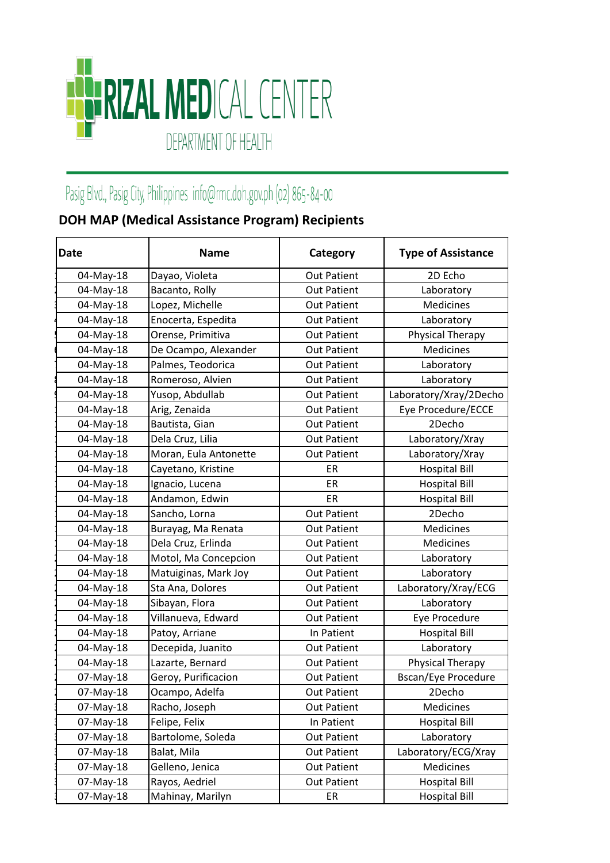

## Pasig Blvd., Pasig City, Philippines info@rmc.doh.gov.ph (02) 865-84-00

## **DOH MAP (Medical Assistance Program) Recipients**

| <b>Date</b> | <b>Name</b>           | Category           | <b>Type of Assistance</b>  |
|-------------|-----------------------|--------------------|----------------------------|
| 04-May-18   | Dayao, Violeta        | <b>Out Patient</b> | 2D Echo                    |
| 04-May-18   | Bacanto, Rolly        | <b>Out Patient</b> | Laboratory                 |
| 04-May-18   | Lopez, Michelle       | <b>Out Patient</b> | <b>Medicines</b>           |
| 04-May-18   | Enocerta, Espedita    | <b>Out Patient</b> | Laboratory                 |
| 04-May-18   | Orense, Primitiva     | <b>Out Patient</b> | Physical Therapy           |
| 04-May-18   | De Ocampo, Alexander  | <b>Out Patient</b> | Medicines                  |
| 04-May-18   | Palmes, Teodorica     | <b>Out Patient</b> | Laboratory                 |
| 04-May-18   | Romeroso, Alvien      | <b>Out Patient</b> | Laboratory                 |
| 04-May-18   | Yusop, Abdullab       | <b>Out Patient</b> | Laboratory/Xray/2Decho     |
| 04-May-18   | Arig, Zenaida         | <b>Out Patient</b> | Eye Procedure/ECCE         |
| 04-May-18   | Bautista, Gian        | <b>Out Patient</b> | 2Decho                     |
| 04-May-18   | Dela Cruz, Lilia      | <b>Out Patient</b> | Laboratory/Xray            |
| 04-May-18   | Moran, Eula Antonette | <b>Out Patient</b> | Laboratory/Xray            |
| 04-May-18   | Cayetano, Kristine    | ER                 | <b>Hospital Bill</b>       |
| 04-May-18   | Ignacio, Lucena       | ER                 | <b>Hospital Bill</b>       |
| 04-May-18   | Andamon, Edwin        | ER                 | <b>Hospital Bill</b>       |
| 04-May-18   | Sancho, Lorna         | <b>Out Patient</b> | 2Decho                     |
| 04-May-18   | Burayag, Ma Renata    | <b>Out Patient</b> | Medicines                  |
| 04-May-18   | Dela Cruz, Erlinda    | <b>Out Patient</b> | <b>Medicines</b>           |
| 04-May-18   | Motol, Ma Concepcion  | <b>Out Patient</b> | Laboratory                 |
| 04-May-18   | Matuiginas, Mark Joy  | <b>Out Patient</b> | Laboratory                 |
| 04-May-18   | Sta Ana, Dolores      | <b>Out Patient</b> | Laboratory/Xray/ECG        |
| 04-May-18   | Sibayan, Flora        | <b>Out Patient</b> | Laboratory                 |
| 04-May-18   | Villanueva, Edward    | <b>Out Patient</b> | Eye Procedure              |
| 04-May-18   | Patoy, Arriane        | In Patient         | <b>Hospital Bill</b>       |
| 04-May-18   | Decepida, Juanito     | <b>Out Patient</b> | Laboratory                 |
| 04-May-18   | Lazarte, Bernard      | <b>Out Patient</b> | Physical Therapy           |
| 07-May-18   | Geroy, Purificacion   | <b>Out Patient</b> | <b>Bscan/Eye Procedure</b> |
| 07-May-18   | Ocampo, Adelfa        | <b>Out Patient</b> | 2Decho                     |
| 07-May-18   | Racho, Joseph         | <b>Out Patient</b> | Medicines                  |
| 07-May-18   | Felipe, Felix         | In Patient         | <b>Hospital Bill</b>       |
| 07-May-18   | Bartolome, Soleda     | <b>Out Patient</b> | Laboratory                 |
| 07-May-18   | Balat, Mila           | <b>Out Patient</b> | Laboratory/ECG/Xray        |
| 07-May-18   | Gelleno, Jenica       | <b>Out Patient</b> | Medicines                  |
| 07-May-18   | Rayos, Aedriel        | <b>Out Patient</b> | <b>Hospital Bill</b>       |
| 07-May-18   | Mahinay, Marilyn      | ER                 | <b>Hospital Bill</b>       |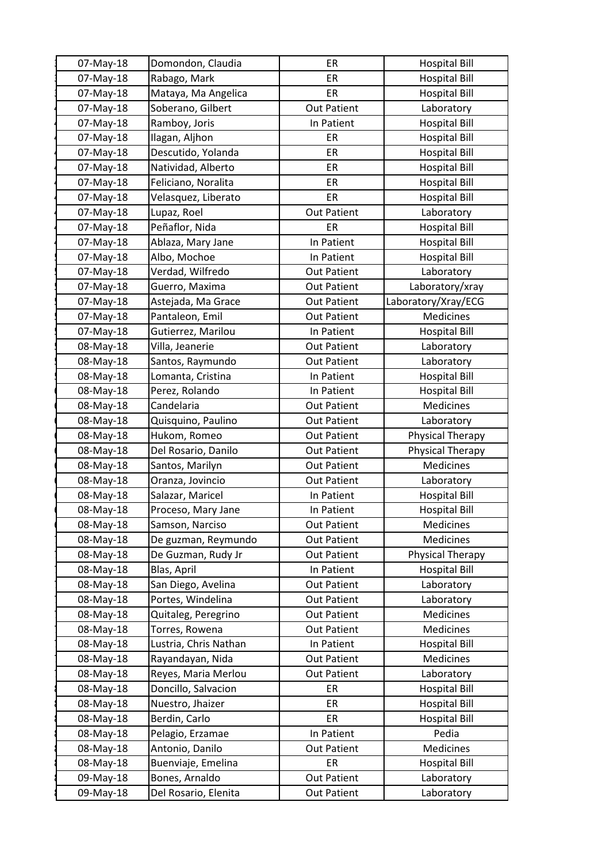| 07-May-18 | Domondon, Claudia     | ER                 | <b>Hospital Bill</b> |
|-----------|-----------------------|--------------------|----------------------|
| 07-May-18 | Rabago, Mark          | ER                 | <b>Hospital Bill</b> |
| 07-May-18 | Mataya, Ma Angelica   | ER                 | <b>Hospital Bill</b> |
| 07-May-18 | Soberano, Gilbert     | <b>Out Patient</b> | Laboratory           |
| 07-May-18 | Ramboy, Joris         | In Patient         | <b>Hospital Bill</b> |
| 07-May-18 | Ilagan, Aljhon        | ER                 | <b>Hospital Bill</b> |
| 07-May-18 | Descutido, Yolanda    | <b>ER</b>          | <b>Hospital Bill</b> |
| 07-May-18 | Natividad, Alberto    | ER                 | <b>Hospital Bill</b> |
| 07-May-18 | Feliciano, Noralita   | ER                 | <b>Hospital Bill</b> |
| 07-May-18 | Velasquez, Liberato   | ER                 | <b>Hospital Bill</b> |
| 07-May-18 | Lupaz, Roel           | <b>Out Patient</b> | Laboratory           |
| 07-May-18 | Peñaflor, Nida        | ER                 | <b>Hospital Bill</b> |
| 07-May-18 | Ablaza, Mary Jane     | In Patient         | <b>Hospital Bill</b> |
| 07-May-18 | Albo, Mochoe          | In Patient         | <b>Hospital Bill</b> |
| 07-May-18 | Verdad, Wilfredo      | <b>Out Patient</b> | Laboratory           |
| 07-May-18 | Guerro, Maxima        | <b>Out Patient</b> | Laboratory/xray      |
| 07-May-18 | Astejada, Ma Grace    | <b>Out Patient</b> | Laboratory/Xray/ECG  |
| 07-May-18 | Pantaleon, Emil       | <b>Out Patient</b> | Medicines            |
| 07-May-18 | Gutierrez, Marilou    | In Patient         | <b>Hospital Bill</b> |
| 08-May-18 | Villa, Jeanerie       | <b>Out Patient</b> | Laboratory           |
| 08-May-18 | Santos, Raymundo      | <b>Out Patient</b> | Laboratory           |
| 08-May-18 | Lomanta, Cristina     | In Patient         | <b>Hospital Bill</b> |
| 08-May-18 | Perez, Rolando        | In Patient         | <b>Hospital Bill</b> |
| 08-May-18 | Candelaria            | <b>Out Patient</b> | Medicines            |
| 08-May-18 | Quisquino, Paulino    | <b>Out Patient</b> | Laboratory           |
| 08-May-18 | Hukom, Romeo          | <b>Out Patient</b> | Physical Therapy     |
| 08-May-18 | Del Rosario, Danilo   | <b>Out Patient</b> | Physical Therapy     |
| 08-May-18 | Santos, Marilyn       | <b>Out Patient</b> | Medicines            |
| 08-May-18 | Oranza, Jovincio      | <b>Out Patient</b> | Laboratory           |
| 08-May-18 | Salazar, Maricel      | In Patient         | <b>Hospital Bill</b> |
| 08-May-18 | Proceso, Mary Jane    | In Patient         | <b>Hospital Bill</b> |
| 08-May-18 | Samson, Narciso       | <b>Out Patient</b> | Medicines            |
| 08-May-18 | De guzman, Reymundo   | <b>Out Patient</b> | Medicines            |
| 08-May-18 | De Guzman, Rudy Jr    | <b>Out Patient</b> | Physical Therapy     |
| 08-May-18 | Blas, April           | In Patient         | <b>Hospital Bill</b> |
| 08-May-18 | San Diego, Avelina    | <b>Out Patient</b> | Laboratory           |
| 08-May-18 | Portes, Windelina     | <b>Out Patient</b> | Laboratory           |
| 08-May-18 | Quitaleg, Peregrino   | <b>Out Patient</b> | Medicines            |
| 08-May-18 | Torres, Rowena        | <b>Out Patient</b> | Medicines            |
| 08-May-18 | Lustria, Chris Nathan | In Patient         | <b>Hospital Bill</b> |
| 08-May-18 | Rayandayan, Nida      | <b>Out Patient</b> | Medicines            |
| 08-May-18 | Reyes, Maria Merlou   | <b>Out Patient</b> | Laboratory           |
| 08-May-18 | Doncillo, Salvacion   | ER                 | <b>Hospital Bill</b> |
| 08-May-18 | Nuestro, Jhaizer      | ER                 | <b>Hospital Bill</b> |
| 08-May-18 | Berdin, Carlo         | <b>ER</b>          | <b>Hospital Bill</b> |
| 08-May-18 | Pelagio, Erzamae      | In Patient         | Pedia                |
| 08-May-18 | Antonio, Danilo       | <b>Out Patient</b> | Medicines            |
| 08-May-18 | Buenviaje, Emelina    | ER                 | <b>Hospital Bill</b> |
| 09-May-18 | Bones, Arnaldo        | <b>Out Patient</b> | Laboratory           |
| 09-May-18 | Del Rosario, Elenita  | <b>Out Patient</b> | Laboratory           |